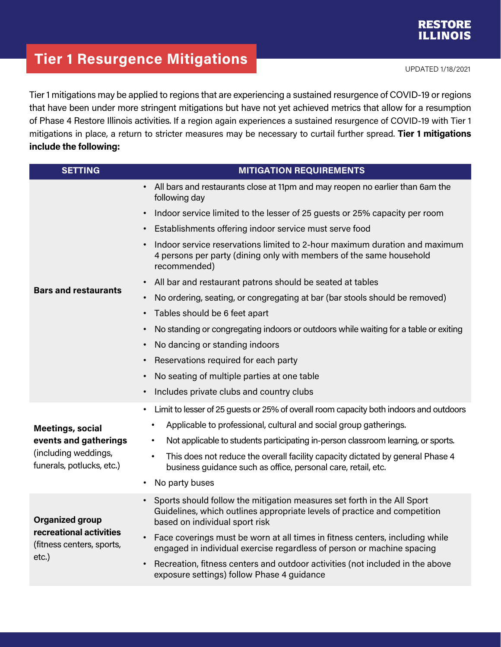## **RESTORE ILLINOIS**

## **Tier 1 Resurgence Mitigations**

tt und der Statistischen Einstellung der Statistischen Einfahren und der Statistischen UPDATED 1/18/2021<br>Eine der Statistischen Einfahren und der Statistischen Einfahren und der Statistischen Einfahren Einfahren und

Tier 1 mitigations may be applied to regions that are experiencing a sustained resurgence of COVID-19 or regions that have been under more stringent mitigations but have not yet achieved metrics that allow for a resumption of Phase 4 Restore Illinois activities. If a region again experiences a sustained resurgence of COVID-19 with Tier 1 mitigations in place, a return to stricter measures may be necessary to curtail further spread. **Tier 1 mitigations include the following:**

| <b>SETTING</b>                                                                                        | <b>MITIGATION REQUIREMENTS</b>                                                                                                                                                                      |
|-------------------------------------------------------------------------------------------------------|-----------------------------------------------------------------------------------------------------------------------------------------------------------------------------------------------------|
| <b>Bars and restaurants</b>                                                                           | All bars and restaurants close at 11pm and may reopen no earlier than 6am the<br>$\bullet$<br>following day                                                                                         |
|                                                                                                       | Indoor service limited to the lesser of 25 guests or 25% capacity per room<br>$\bullet$                                                                                                             |
|                                                                                                       | Establishments offering indoor service must serve food<br>$\bullet$                                                                                                                                 |
|                                                                                                       | Indoor service reservations limited to 2-hour maximum duration and maximum<br>$\bullet$<br>4 persons per party (dining only with members of the same household<br>recommended)                      |
|                                                                                                       | All bar and restaurant patrons should be seated at tables<br>$\bullet$                                                                                                                              |
|                                                                                                       | No ordering, seating, or congregating at bar (bar stools should be removed)<br>$\bullet$                                                                                                            |
|                                                                                                       | Tables should be 6 feet apart<br>$\bullet$                                                                                                                                                          |
|                                                                                                       | No standing or congregating indoors or outdoors while waiting for a table or exiting<br>$\bullet$                                                                                                   |
|                                                                                                       | No dancing or standing indoors<br>$\bullet$                                                                                                                                                         |
|                                                                                                       | Reservations required for each party<br>$\bullet$                                                                                                                                                   |
|                                                                                                       | No seating of multiple parties at one table<br>$\bullet$                                                                                                                                            |
|                                                                                                       | Includes private clubs and country clubs<br>$\bullet$                                                                                                                                               |
| <b>Meetings, social</b><br>events and gatherings<br>(including weddings,<br>funerals, potlucks, etc.) | Limit to lesser of 25 guests or 25% of overall room capacity both indoors and outdoors<br>$\bullet$                                                                                                 |
|                                                                                                       | Applicable to professional, cultural and social group gatherings.                                                                                                                                   |
|                                                                                                       | Not applicable to students participating in-person classroom learning, or sports.<br>$\bullet$                                                                                                      |
|                                                                                                       | This does not reduce the overall facility capacity dictated by general Phase 4<br>$\bullet$<br>business guidance such as office, personal care, retail, etc.                                        |
|                                                                                                       | No party buses<br>$\bullet$                                                                                                                                                                         |
| <b>Organized group</b><br>recreational activities<br>(fitness centers, sports,<br>etc.)               | Sports should follow the mitigation measures set forth in the All Sport<br>$\bullet$<br>Guidelines, which outlines appropriate levels of practice and competition<br>based on individual sport risk |
|                                                                                                       | Face coverings must be worn at all times in fitness centers, including while<br>$\bullet$<br>engaged in individual exercise regardless of person or machine spacing                                 |
|                                                                                                       | Recreation, fitness centers and outdoor activities (not included in the above<br>$\bullet$<br>exposure settings) follow Phase 4 guidance                                                            |